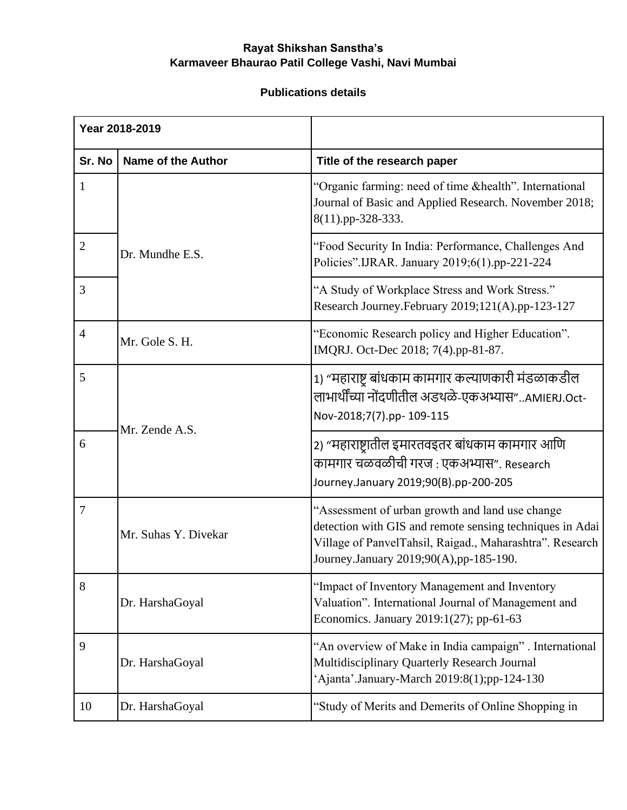## **Rayat Shikshan Sanstha's Karmaveer Bhaurao Patil College Vashi, Navi Mumbai**

## **Publications details**

| Year 2018-2019 |                           |                                                                                                                                                                                                                   |
|----------------|---------------------------|-------------------------------------------------------------------------------------------------------------------------------------------------------------------------------------------------------------------|
| Sr. No         | <b>Name of the Author</b> | Title of the research paper                                                                                                                                                                                       |
| 1              |                           | "Organic farming: need of time & health". International<br>Journal of Basic and Applied Research. November 2018;<br>8(11).pp-328-333.                                                                             |
| 2              | Dr. Mundhe E.S.           | "Food Security In India: Performance, Challenges And<br>Policies".IJRAR. January 2019;6(1).pp-221-224                                                                                                             |
| 3              |                           | "A Study of Workplace Stress and Work Stress."<br>Research Journey.February 2019;121(A).pp-123-127                                                                                                                |
| 4              | Mr. Gole S. H.            | "Economic Research policy and Higher Education".<br>IMQRJ. Oct-Dec 2018; 7(4).pp-81-87.                                                                                                                           |
| 5              | Mr. Zende A.S.            | 1) "महाराष्ट्र बांधकाम कामगार कल्याणकारी मंडळाकडील<br>लाभार्थींच्या नोंदणीतील अडथळे-एकअभ्यास"AMIERJ.Oct-<br>Nov-2018;7(7).pp- 109-115                                                                             |
| 6              |                           | 2) "महाराष्ट्रातील इमारतवइतर बांधकाम कामगार आणि<br>कामगार चळवळीची गरज : एकअभ्यास". Research<br>Journey.January 2019;90(B).pp-200-205                                                                              |
| $\overline{7}$ | Mr. Suhas Y. Divekar      | "Assessment of urban growth and land use change<br>detection with GIS and remote sensing techniques in Adai<br>Village of PanvelTahsil, Raigad., Maharashtra". Research<br>Journey.January 2019;90(A),pp-185-190. |
| 8              | Dr. HarshaGoyal           | "Impact of Inventory Management and Inventory<br>Valuation". International Journal of Management and<br>Economics. January 2019:1(27); pp-61-63                                                                   |
| 9              | Dr. HarshaGoyal           | "An overview of Make in India campaign". International<br>Multidisciplinary Quarterly Research Journal<br>'Ajanta'.January-March 2019:8(1);pp-124-130                                                             |
| 10             | Dr. HarshaGoyal           | "Study of Merits and Demerits of Online Shopping in                                                                                                                                                               |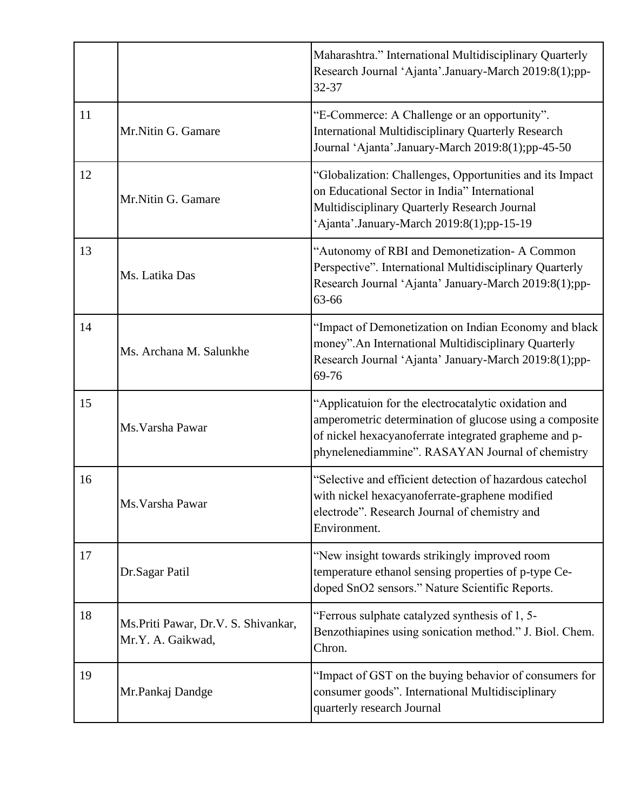|    |                                                            | Maharashtra." International Multidisciplinary Quarterly<br>Research Journal 'Ajanta'.January-March 2019:8(1);pp-<br>32-37                                                                                                    |
|----|------------------------------------------------------------|------------------------------------------------------------------------------------------------------------------------------------------------------------------------------------------------------------------------------|
| 11 | Mr.Nitin G. Gamare                                         | "E-Commerce: A Challenge or an opportunity".<br>International Multidisciplinary Quarterly Research<br>Journal 'Ajanta'.January-March 2019:8(1);pp-45-50                                                                      |
| 12 | Mr.Nitin G. Gamare                                         | "Globalization: Challenges, Opportunities and its Impact<br>on Educational Sector in India" International<br>Multidisciplinary Quarterly Research Journal<br>'Ajanta'.January-March 2019:8(1);pp-15-19                       |
| 13 | Ms. Latika Das                                             | "Autonomy of RBI and Demonetization- A Common<br>Perspective". International Multidisciplinary Quarterly<br>Research Journal 'Ajanta' January-March 2019:8(1);pp-<br>63-66                                                   |
| 14 | Ms. Archana M. Salunkhe                                    | "Impact of Demonetization on Indian Economy and black<br>money". An International Multidisciplinary Quarterly<br>Research Journal 'Ajanta' January-March 2019:8(1);pp-<br>69-76                                              |
| 15 | Ms. Varsha Pawar                                           | "Applicatuion for the electrocatalytic oxidation and<br>amperometric determination of glucose using a composite<br>of nickel hexacyanoferrate integrated grapheme and p-<br>phynelenediammine". RASAYAN Journal of chemistry |
| 16 | Ms. Varsha Pawar                                           | "Selective and efficient detection of hazardous catechol<br>with nickel hexacyanoferrate-graphene modified<br>electrode". Research Journal of chemistry and<br>Environment.                                                  |
| 17 | Dr.Sagar Patil                                             | "New insight towards strikingly improved room<br>temperature ethanol sensing properties of p-type Ce-<br>doped SnO2 sensors." Nature Scientific Reports.                                                                     |
| 18 | Ms. Priti Pawar, Dr. V. S. Shivankar,<br>Mr.Y. A. Gaikwad, | "Ferrous sulphate catalyzed synthesis of 1, 5-<br>Benzothiapines using sonication method." J. Biol. Chem.<br>Chron.                                                                                                          |
| 19 | Mr.Pankaj Dandge                                           | "Impact of GST on the buying behavior of consumers for<br>consumer goods". International Multidisciplinary<br>quarterly research Journal                                                                                     |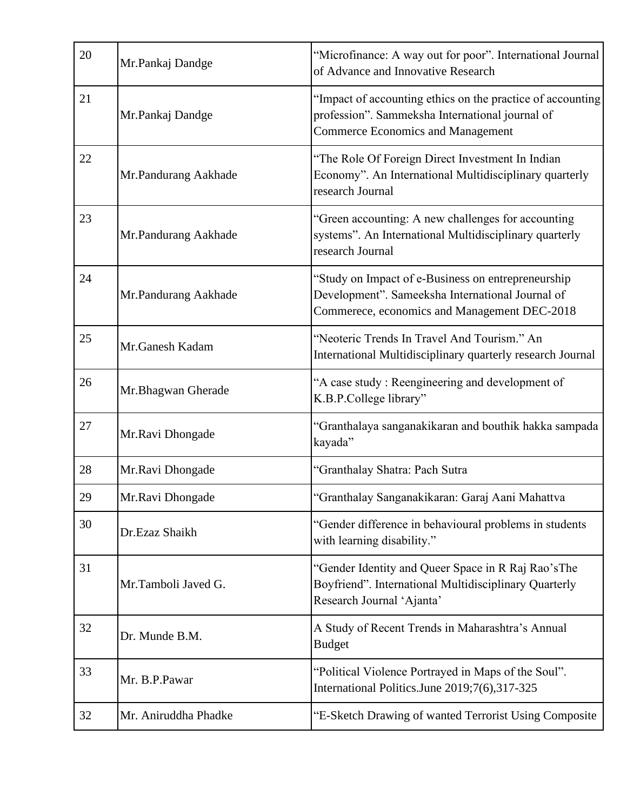| 20 | Mr.Pankaj Dandge     | "Microfinance: A way out for poor". International Journal<br>of Advance and Innovative Research                                                           |
|----|----------------------|-----------------------------------------------------------------------------------------------------------------------------------------------------------|
| 21 | Mr.Pankaj Dandge     | "Impact of accounting ethics on the practice of accounting<br>profession". Sammeksha International journal of<br><b>Commerce Economics and Management</b> |
| 22 | Mr.Pandurang Aakhade | "The Role Of Foreign Direct Investment In Indian<br>Economy". An International Multidisciplinary quarterly<br>research Journal                            |
| 23 | Mr.Pandurang Aakhade | "Green accounting: A new challenges for accounting<br>systems". An International Multidisciplinary quarterly<br>research Journal                          |
| 24 | Mr.Pandurang Aakhade | "Study on Impact of e-Business on entrepreneurship<br>Development". Sameeksha International Journal of<br>Commerece, economics and Management DEC-2018    |
| 25 | Mr.Ganesh Kadam      | "Neoteric Trends In Travel And Tourism." An<br>International Multidisciplinary quarterly research Journal                                                 |
| 26 | Mr.Bhagwan Gherade   | "A case study: Reengineering and development of<br>K.B.P.College library"                                                                                 |
| 27 | Mr.Ravi Dhongade     | "Granthalaya sanganakikaran and bouthik hakka sampada<br>kayada"                                                                                          |
| 28 | Mr.Ravi Dhongade     | "Granthalay Shatra: Pach Sutra                                                                                                                            |
| 29 | Mr.Ravi Dhongade     | "Granthalay Sanganakikaran: Garaj Aani Mahattva                                                                                                           |
| 30 | Dr.Ezaz Shaikh       | "Gender difference in behavioural problems in students<br>with learning disability."                                                                      |
| 31 | Mr.Tamboli Javed G.  | "Gender Identity and Queer Space in R Raj Rao's The<br>Boyfriend". International Multidisciplinary Quarterly<br>Research Journal 'Ajanta'                 |
| 32 | Dr. Munde B.M.       | A Study of Recent Trends in Maharashtra's Annual<br><b>Budget</b>                                                                                         |
| 33 | Mr. B.P.Pawar        | "Political Violence Portrayed in Maps of the Soul".<br>International Politics.June 2019;7(6),317-325                                                      |
| 32 | Mr. Aniruddha Phadke | "E-Sketch Drawing of wanted Terrorist Using Composite                                                                                                     |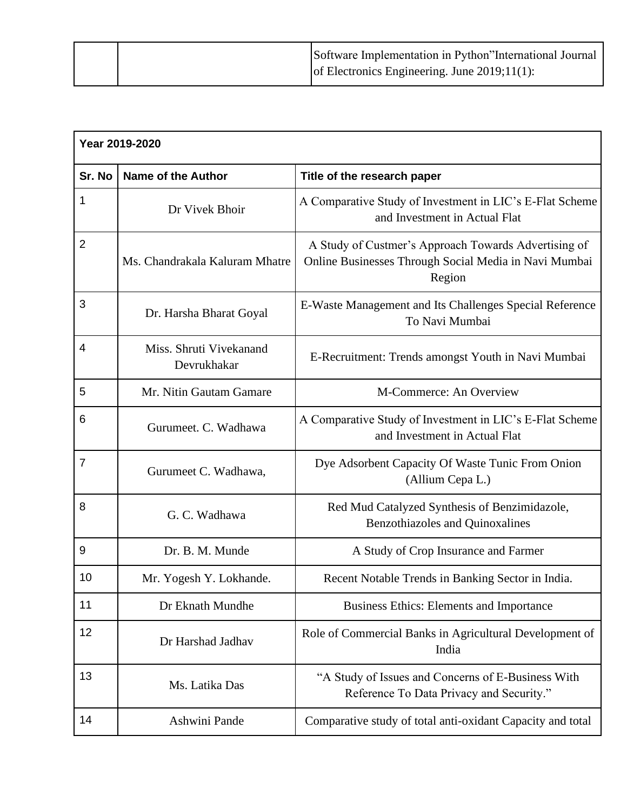|  | Software Implementation in Python"International Journal |
|--|---------------------------------------------------------|
|  | of Electronics Engineering. June $2019;11(1)$ :         |

| Year 2019-2020 |                                        |                                                                                                                         |
|----------------|----------------------------------------|-------------------------------------------------------------------------------------------------------------------------|
| Sr. No         | <b>Name of the Author</b>              | Title of the research paper                                                                                             |
| 1              | Dr Vivek Bhoir                         | A Comparative Study of Investment in LIC's E-Flat Scheme<br>and Investment in Actual Flat                               |
| $\overline{2}$ | Ms. Chandrakala Kaluram Mhatre         | A Study of Custmer's Approach Towards Advertising of<br>Online Businesses Through Social Media in Navi Mumbai<br>Region |
| 3              | Dr. Harsha Bharat Goyal                | E-Waste Management and Its Challenges Special Reference<br>To Navi Mumbai                                               |
| 4              | Miss. Shruti Vivekanand<br>Devrukhakar | E-Recruitment: Trends amongst Youth in Navi Mumbai                                                                      |
| 5              | Mr. Nitin Gautam Gamare                | M-Commerce: An Overview                                                                                                 |
| 6              | Gurumeet. C. Wadhawa                   | A Comparative Study of Investment in LIC's E-Flat Scheme<br>and Investment in Actual Flat                               |
| $\overline{7}$ | Gurumeet C. Wadhawa,                   | Dye Adsorbent Capacity Of Waste Tunic From Onion<br>(Allium Cepa L.)                                                    |
| 8              | G. C. Wadhawa                          | Red Mud Catalyzed Synthesis of Benzimidazole,<br><b>Benzothiazoles and Quinoxalines</b>                                 |
| 9              | Dr. B. M. Munde                        | A Study of Crop Insurance and Farmer                                                                                    |
| 10             | Mr. Yogesh Y. Lokhande.                | Recent Notable Trends in Banking Sector in India.                                                                       |
| 11             | Dr Eknath Mundhe                       | <b>Business Ethics: Elements and Importance</b>                                                                         |
| 12             | Dr Harshad Jadhav                      | Role of Commercial Banks in Agricultural Development of<br>India                                                        |
| 13             | Ms. Latika Das                         | "A Study of Issues and Concerns of E-Business With<br>Reference To Data Privacy and Security."                          |
| 14             | Ashwini Pande                          | Comparative study of total anti-oxidant Capacity and total                                                              |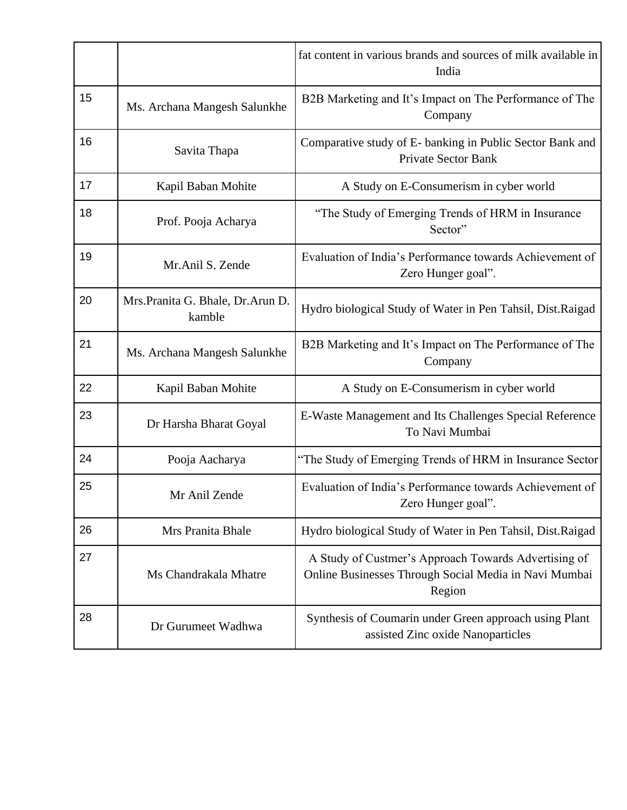|    |                                              | fat content in various brands and sources of milk available in<br>India                                                 |
|----|----------------------------------------------|-------------------------------------------------------------------------------------------------------------------------|
| 15 | Ms. Archana Mangesh Salunkhe                 | B2B Marketing and It's Impact on The Performance of The<br>Company                                                      |
| 16 | Savita Thapa                                 | Comparative study of E- banking in Public Sector Bank and<br><b>Private Sector Bank</b>                                 |
| 17 | Kapil Baban Mohite                           | A Study on E-Consumerism in cyber world                                                                                 |
| 18 | Prof. Pooja Acharya                          | "The Study of Emerging Trends of HRM in Insurance<br>Sector"                                                            |
| 19 | Mr.Anil S. Zende                             | Evaluation of India's Performance towards Achievement of<br>Zero Hunger goal".                                          |
| 20 | Mrs. Pranita G. Bhale, Dr. Arun D.<br>kamble | Hydro biological Study of Water in Pen Tahsil, Dist.Raigad                                                              |
| 21 | Ms. Archana Mangesh Salunkhe                 | B2B Marketing and It's Impact on The Performance of The<br>Company                                                      |
| 22 | Kapil Baban Mohite                           | A Study on E-Consumerism in cyber world                                                                                 |
| 23 | Dr Harsha Bharat Goyal                       | E-Waste Management and Its Challenges Special Reference<br>To Navi Mumbai                                               |
| 24 | Pooja Aacharya                               | "The Study of Emerging Trends of HRM in Insurance Sector                                                                |
| 25 | Mr Anil Zende                                | Evaluation of India's Performance towards Achievement of<br>Zero Hunger goal".                                          |
| 26 | Mrs Pranita Bhale                            | Hydro biological Study of Water in Pen Tahsil, Dist. Raigad                                                             |
| 27 | Ms Chandrakala Mhatre                        | A Study of Custmer's Approach Towards Advertising of<br>Online Businesses Through Social Media in Navi Mumbai<br>Region |
| 28 | Dr Gurumeet Wadhwa                           | Synthesis of Coumarin under Green approach using Plant<br>assisted Zinc oxide Nanoparticles                             |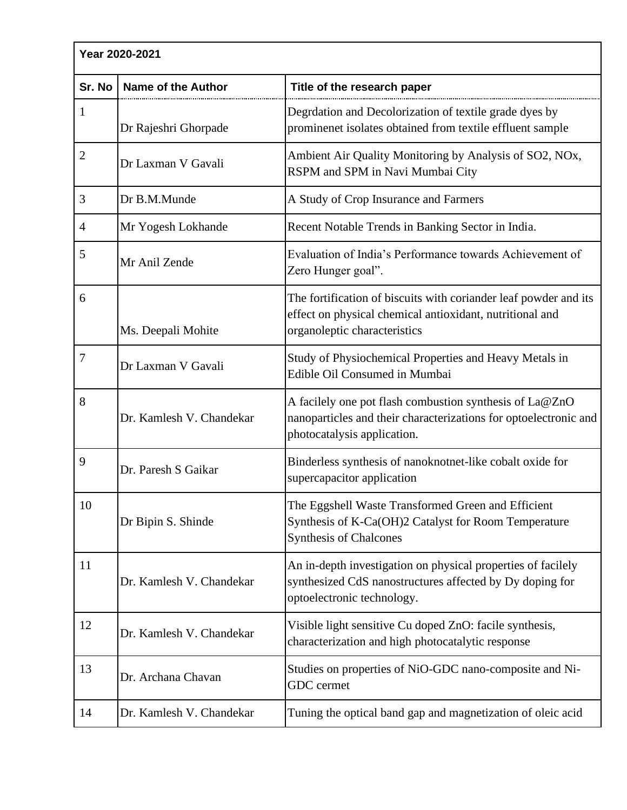| Year 2020-2021 |                           |                                                                                                                                                              |
|----------------|---------------------------|--------------------------------------------------------------------------------------------------------------------------------------------------------------|
| Sr. No         | <b>Name of the Author</b> | Title of the research paper                                                                                                                                  |
| 1              | Dr Rajeshri Ghorpade      | Degrdation and Decolorization of textile grade dyes by<br>prominenet isolates obtained from textile effluent sample                                          |
| $\mathfrak{2}$ | Dr Laxman V Gavali        | Ambient Air Quality Monitoring by Analysis of SO2, NOx,<br>RSPM and SPM in Navi Mumbai City                                                                  |
| 3              | Dr B.M.Munde              | A Study of Crop Insurance and Farmers                                                                                                                        |
| 4              | Mr Yogesh Lokhande        | Recent Notable Trends in Banking Sector in India.                                                                                                            |
| 5              | Mr Anil Zende             | Evaluation of India's Performance towards Achievement of<br>Zero Hunger goal".                                                                               |
| 6              | Ms. Deepali Mohite        | The fortification of biscuits with coriander leaf powder and its<br>effect on physical chemical antioxidant, nutritional and<br>organoleptic characteristics |
| 7              | Dr Laxman V Gavali        | Study of Physiochemical Properties and Heavy Metals in<br>Edible Oil Consumed in Mumbai                                                                      |
| 8              | Dr. Kamlesh V. Chandekar  | A facilely one pot flash combustion synthesis of La@ZnO<br>nanoparticles and their characterizations for optoelectronic and<br>photocatalysis application.   |
| 9              | Dr. Paresh S Gaikar       | Binderless synthesis of nanoknotnet-like cobalt oxide for<br>supercapacitor application                                                                      |
| 10             | Dr Bipin S. Shinde        | The Eggshell Waste Transformed Green and Efficient<br>Synthesis of K-Ca(OH)2 Catalyst for Room Temperature<br><b>Synthesis of Chalcones</b>                  |
| 11             | Dr. Kamlesh V. Chandekar  | An in-depth investigation on physical properties of facilely<br>synthesized CdS nanostructures affected by Dy doping for<br>optoelectronic technology.       |
| 12             | Dr. Kamlesh V. Chandekar  | Visible light sensitive Cu doped ZnO: facile synthesis,<br>characterization and high photocatalytic response                                                 |
| 13             | Dr. Archana Chavan        | Studies on properties of NiO-GDC nano-composite and Ni-<br><b>GDC</b> cermet                                                                                 |
| 14             | Dr. Kamlesh V. Chandekar  | Tuning the optical band gap and magnetization of oleic acid                                                                                                  |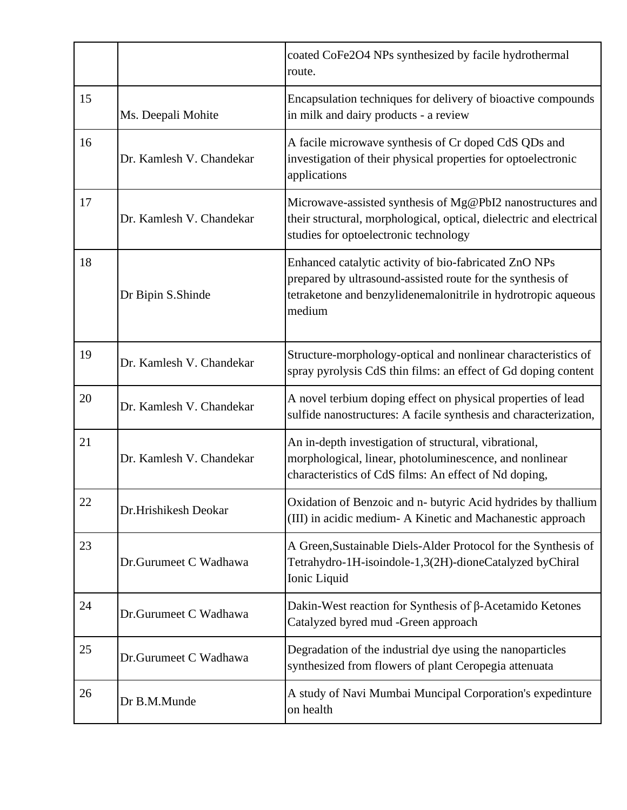|    |                          | coated CoFe2O4 NPs synthesized by facile hydrothermal<br>route.                                                                                                                                |
|----|--------------------------|------------------------------------------------------------------------------------------------------------------------------------------------------------------------------------------------|
| 15 | Ms. Deepali Mohite       | Encapsulation techniques for delivery of bioactive compounds<br>in milk and dairy products - a review                                                                                          |
| 16 | Dr. Kamlesh V. Chandekar | A facile microwave synthesis of Cr doped CdS QDs and<br>investigation of their physical properties for optoelectronic<br>applications                                                          |
| 17 | Dr. Kamlesh V. Chandekar | Microwave-assisted synthesis of Mg@PbI2 nanostructures and<br>their structural, morphological, optical, dielectric and electrical<br>studies for optoelectronic technology                     |
| 18 | Dr Bipin S.Shinde        | Enhanced catalytic activity of bio-fabricated ZnO NPs<br>prepared by ultrasound-assisted route for the synthesis of<br>tetraketone and benzylidenemalonitrile in hydrotropic aqueous<br>medium |
| 19 | Dr. Kamlesh V. Chandekar | Structure-morphology-optical and nonlinear characteristics of<br>spray pyrolysis CdS thin films: an effect of Gd doping content                                                                |
| 20 | Dr. Kamlesh V. Chandekar | A novel terbium doping effect on physical properties of lead<br>sulfide nanostructures: A facile synthesis and characterization,                                                               |
| 21 | Dr. Kamlesh V. Chandekar | An in-depth investigation of structural, vibrational,<br>morphological, linear, photoluminescence, and nonlinear<br>characteristics of CdS films: An effect of Nd doping,                      |
| 22 | Dr.Hrishikesh Deokar     | Oxidation of Benzoic and n- butyric Acid hydrides by thallium<br>(III) in acidic medium- A Kinetic and Machanestic approach                                                                    |
| 23 | Dr.Gurumeet C Wadhawa    | A Green, Sustainable Diels-Alder Protocol for the Synthesis of<br>Tetrahydro-1H-isoindole-1,3(2H)-dioneCatalyzed byChiral<br>Ionic Liquid                                                      |
| 24 | Dr.Gurumeet C Wadhawa    | Dakin-West reaction for Synthesis of $\beta$ -Acetamido Ketones<br>Catalyzed byred mud -Green approach                                                                                         |
| 25 | Dr.Gurumeet C Wadhawa    | Degradation of the industrial dye using the nanoparticles<br>synthesized from flowers of plant Ceropegia attenuata                                                                             |
| 26 | Dr B.M.Munde             | A study of Navi Mumbai Muncipal Corporation's expedinture<br>on health                                                                                                                         |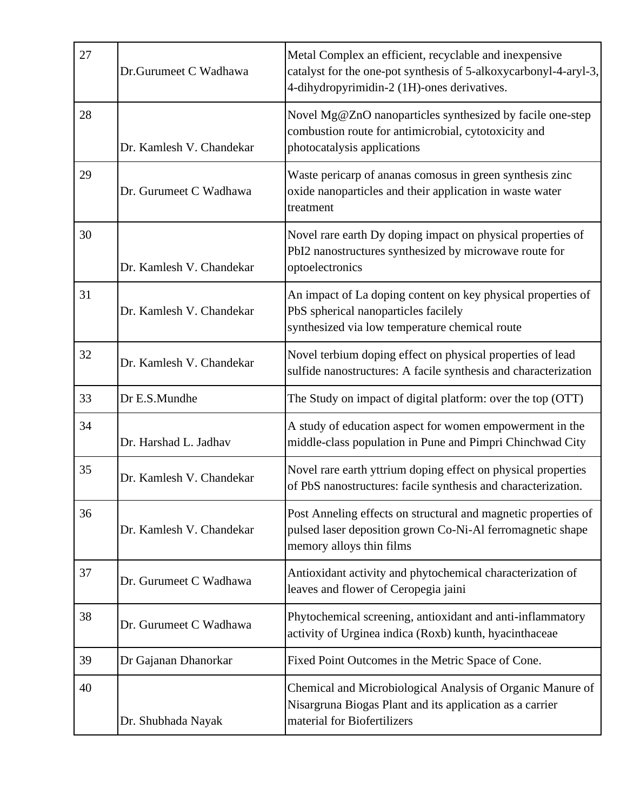| 27 | Dr.Gurumeet C Wadhawa    | Metal Complex an efficient, recyclable and inexpensive<br>catalyst for the one-pot synthesis of 5-alkoxycarbonyl-4-aryl-3,<br>4-dihydropyrimidin-2 (1H)-ones derivatives. |
|----|--------------------------|---------------------------------------------------------------------------------------------------------------------------------------------------------------------------|
| 28 | Dr. Kamlesh V. Chandekar | Novel Mg@ZnO nanoparticles synthesized by facile one-step<br>combustion route for antimicrobial, cytotoxicity and<br>photocatalysis applications                          |
| 29 | Dr. Gurumeet C Wadhawa   | Waste pericarp of ananas comosus in green synthesis zinc<br>oxide nanoparticles and their application in waste water<br>treatment                                         |
| 30 | Dr. Kamlesh V. Chandekar | Novel rare earth Dy doping impact on physical properties of<br>PbI2 nanostructures synthesized by microwave route for<br>optoelectronics                                  |
| 31 | Dr. Kamlesh V. Chandekar | An impact of La doping content on key physical properties of<br>PbS spherical nanoparticles facilely<br>synthesized via low temperature chemical route                    |
| 32 | Dr. Kamlesh V. Chandekar | Novel terbium doping effect on physical properties of lead<br>sulfide nanostructures: A facile synthesis and characterization                                             |
| 33 | Dr E.S.Mundhe            | The Study on impact of digital platform: over the top (OTT)                                                                                                               |
| 34 | Dr. Harshad L. Jadhav    | A study of education aspect for women empowerment in the<br>middle-class population in Pune and Pimpri Chinchwad City                                                     |
| 35 | Dr. Kamlesh V. Chandekar | Novel rare earth yttrium doping effect on physical properties<br>of PbS nanostructures: facile synthesis and characterization.                                            |
| 36 | Dr. Kamlesh V. Chandekar | Post Anneling effects on structural and magnetic properties of<br>pulsed laser deposition grown Co-Ni-Al ferromagnetic shape<br>memory alloys thin films                  |
| 37 | Dr. Gurumeet C Wadhawa   | Antioxidant activity and phytochemical characterization of<br>leaves and flower of Ceropegia jaini                                                                        |
| 38 | Dr. Gurumeet C Wadhawa   | Phytochemical screening, antioxidant and anti-inflammatory<br>activity of Urginea indica (Roxb) kunth, hyacinthaceae                                                      |
| 39 | Dr Gajanan Dhanorkar     | Fixed Point Outcomes in the Metric Space of Cone.                                                                                                                         |
| 40 | Dr. Shubhada Nayak       | Chemical and Microbiological Analysis of Organic Manure of<br>Nisargruna Biogas Plant and its application as a carrier<br>material for Biofertilizers                     |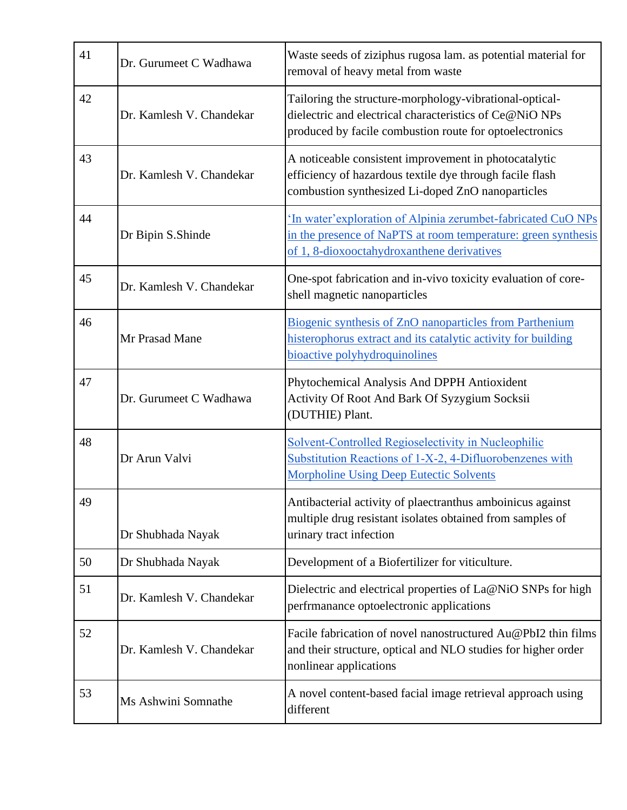| 41 | Dr. Gurumeet C Wadhawa   | Waste seeds of ziziphus rugosa lam. as potential material for<br>removal of heavy metal from waste                                                                            |
|----|--------------------------|-------------------------------------------------------------------------------------------------------------------------------------------------------------------------------|
| 42 | Dr. Kamlesh V. Chandekar | Tailoring the structure-morphology-vibrational-optical-<br>dielectric and electrical characteristics of Ce@NiO NPs<br>produced by facile combustion route for optoelectronics |
| 43 | Dr. Kamlesh V. Chandekar | A noticeable consistent improvement in photocatalytic<br>efficiency of hazardous textile dye through facile flash<br>combustion synthesized Li-doped ZnO nanoparticles        |
| 44 | Dr Bipin S.Shinde        | 'In water' exploration of Alpinia zerumbet-fabricated CuO NPs<br>in the presence of NaPTS at room temperature: green synthesis<br>of 1, 8-dioxooctahydroxanthene derivatives  |
| 45 | Dr. Kamlesh V. Chandekar | One-spot fabrication and in-vivo toxicity evaluation of core-<br>shell magnetic nanoparticles                                                                                 |
| 46 | Mr Prasad Mane           | Biogenic synthesis of ZnO nanoparticles from Parthenium<br>histerophorus extract and its catalytic activity for building<br>bioactive polyhydroquinolines                     |
| 47 | Dr. Gurumeet C Wadhawa   | Phytochemical Analysis And DPPH Antioxident<br>Activity Of Root And Bark Of Syzygium Socksii<br>(DUTHIE) Plant.                                                               |
| 48 | Dr Arun Valvi            | Solvent-Controlled Regioselectivity in Nucleophilic<br>Substitution Reactions of 1-X-2, 4-Difluorobenzenes with<br><b>Morpholine Using Deep Eutectic Solvents</b>             |
| 49 | Dr Shubhada Nayak        | Antibacterial activity of plaectranthus amboinicus against<br>multiple drug resistant isolates obtained from samples of<br>urinary tract infection                            |
| 50 | Dr Shubhada Nayak        | Development of a Biofertilizer for viticulture.                                                                                                                               |
| 51 | Dr. Kamlesh V. Chandekar | Dielectric and electrical properties of La@NiO SNPs for high<br>perfrmanance optoelectronic applications                                                                      |
| 52 | Dr. Kamlesh V. Chandekar | Facile fabrication of novel nanostructured Au@PbI2 thin films<br>and their structure, optical and NLO studies for higher order<br>nonlinear applications                      |
| 53 | Ms Ashwini Somnathe      | A novel content-based facial image retrieval approach using<br>different                                                                                                      |